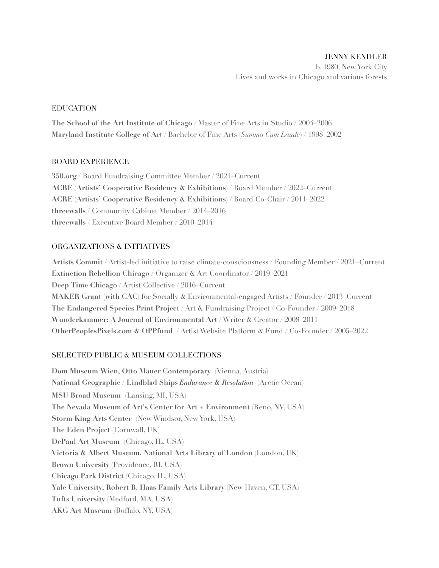## EDUCATION

**The School of the Art Institute of Chicago** / Master of Fine Arts in Studio / 2004–2006 **Maryland Institute College of Ar**t / Bachelor of Fine Arts (*Summa Cum Laude*) / 1998–2002

# BOARD EXPERIENCE

**[350.org](http://350.org)** / Board Fundraising Committee Member / 2021–Current **ACRE (Artists' Cooperative Residency & Exhibitions)** / Board Member / 2022–Current **ACRE (Artists' Cooperative Residency & Exhibitions)** / Board Co-Chair / 2011–2022 **threewalls** / Community Cabinet Member / 2014–2016 **threewalls** / Executive Board Member / 2010–2014

# ORGANIZATIONS & INITIATIVES

**Artists Commit** / Artist-led initiative to raise climate-consciousness / Founding Member / 2021–Current **Extinction Rebellion Chicago** / Organizer & Art Coordinator / 2019–2021 **Deep Time Chicago** / Artist Collective / 2016–Current **MAKER Grant (with CAC)** for Socially & Environmental-engaged Artists / Founder / 2013–Current **The Endangered Species Print Project** / Art & Fundraising Project / Co-Founder / 2009–2018 **Wunderkammer: A Journal of Environmental Art** / Writer & Creator / 2008–2011 **OtherPeoplesPixels.com & OPPfund** / Artist Website Platform & Fund / Co-Founder / 2005–2022

# SELECTED PUBLIC & MUSEUM COLLECTIONS

**Dom Museum Wien, Otto Mauer Contemporary** (Vienna, Austria) **National Geographic / Lindblad Ships** *Endurance* **&** *Resolution* (Arctic Ocean) **MSU Broad Museum** (Lansing, MI, USA) **The Nevada Museum of Art's Center for Art + Environment** (Reno, NV, USA) **Storm King Arts Center** (New Windsor, New York, USA) **The Eden Project** (Cornwall, UK) **DePaul Art Museum** (Chicago, IL, USA) **Victoria & Albert Museum, National Arts Library of London** (London, UK) **Brown University** (Providence, RI, USA) **Chicago Park District** (Chicago, IL, USA) **Yale University, Robert B. Haas Family Arts Library** (New Haven, CT, USA) **Tufts University** (Medford, MA, USA) **AKG Art Museum** (Buffalo, NY, USA)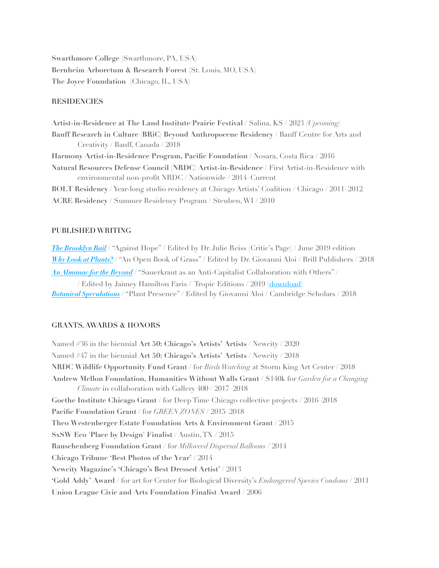**Swarthmore College** (Swarthmore, PA, USA) **Bernheim Arboretum & Research Forest** (St. Louis, MO, USA) **The Joyce Foundation** (Chicago, IL, USA)

#### **RESIDENCIES**

**Artist-in-Residence at The Land Institute/Prairie Festival** / Salina, KS / 2023 *(Upcoming)* **Banff Research in Culture (BRiC) Beyond Anthropocene Residency** / Banff Centre for Arts and Creativity / Banff, Canada / 2018 **Harmony Artist-in-Residence Program, Pacific Foundation** / Nosara, Costa Rica / 2016 **Natural Resources Defense Council (NRDC) Artist-in-Residence** / First Artist-in-Residence with environmental non-profit NRDC / Nationwide / 2014–Current **BOLT Residency** / Year-long studio residency at Chicago Artists' Coalition / Chicago / 2011–2012 **ACRE Residency** / Summer Residency Program / Steuben, WI / 2010

#### PUBLISHED WRITING

*[The Brooklyn Rail](https://brooklynrail.org/)* / "Against Hope" / Edited by Dr. Julie Reiss (Critic's Page) / June 2019 edition *[Why Look at Plants?](https://brill.com/abstract/title/33086?rskey=H5jkFC&result=1)* / "An Open Book of Grass" / Edited by Dr. Giovanni Aloi / Brill Publishers / 2018 *[An Almanac for the Beyond](https://tropiceditions.org/Almanac-for-the-Beyond)* / "Sauerkraut as an Anti-Capitalist Collaboration with Others" / / Edited by Jaimey Hamilton Faris / Tropic Editions / 2019 [[download\]](https://www.almanacforthebeyond.ca/) *[Botanical Speculations](https://www.cambridgescholars.com/botanical-speculations)* / "Plant Presence" / Edited by Giovanni Aloi / Cambridge Scholars / 2018

#### GRANTS, AWARDS & HONORS

Named #36 in the biennial **Art 50: Chicago's Artists' Artists** / Newcity / 2020 Named #47 in the biennial **Art 50: Chicago's Artists' Artists** / Newcity / 2018 **NRDC Wildlife Opportunity Fund Grant** / for *Birds Watching* at Storm King Art Center / 2018 **[Andrew Mellon Foundation, Humanities Without Walls Grant](http://www.humanitieswithoutwalls.illinois.edu/initiatives/changing-climate/2017projects.html)** / \$140k for *Garden for a Changing Climate* in collaboration with Gallery 400 / 2017–2018 **Goethe Institute Chicago Grant** / for Deep Time Chicago collective projects / 2016–2018 **Pacific Foundation Grant** / for *GREEN ZONES* / 2015–2018 **Theo Westenberger Estate Foundation Arts & Environment Grant** / 2015 **SxSW Eco 'Place by Design' Finalist** / Austin, TX / 2015 **Rauschenberg Foundation Grant** / for *Milkweed Dispersal Balloons* / 2014 **Chicago Tribune 'Best Photos of the Year'** / 2014 **Newcity Magazine's 'Chicago's Best Dressed Artist'** / 2013 **'Gold Addy' Award** / for art for Center for Biological Diversity's *Endangered Species Condoms* / 2011 **Union League Civic and Arts Foundation Finalist Award** / 2006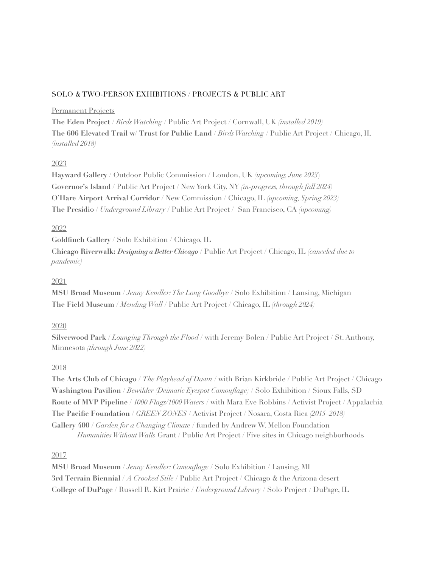## SOLO & TWO-PERSON EXHIBITIONS / PROJECTS & PUBLIC ART

### Permanent Projects

**The Eden Project** / *Birds Watching* / Public Art Project / Cornwall, UK *(installed 2019)* **The 606 Elevated Trail w/ Trust for Public Land** / *Birds Watching* / Public Art Project / Chicago, IL *(installed 2018)*

# 2023

**Hayward Gallery** / Outdoor Public Commission / London, UK *(upcoming, June 2023*) **Governor's Island** / Public Art Project / New York City, NY *(in-progress, through fall 2024)* **O'Hare Airport Arrival Corridor** / New Commission / Chicago, IL *(upcoming, Spring 2023)* **The Presidio** / *Underground Library* / Public Art Project / San Francisco, CA *(upcoming)*

## 2022

**Goldfinch Gallery** / Solo Exhibition / Chicago, IL

**Chicago Riverwalk:** *Designing a Better Chicago* / Public Art Project / Chicago, IL *(canceled due to pandemic)*

# 2021

**MSU Broad Museum** / *Jenny Kendler: The Long Goodbye* / Solo Exhibition / Lansing, Michigan **The Field Museum** / *Mending Wall* / Public Art Project / Chicago, IL *(through 2024)*

## 2020

**Silverwood Park** / *Lounging Through the Flood* / with Jeremy Bolen / Public Art Project / St. Anthony, Minnesota *(through June 2022)*

## 2018

**The Arts Club of Chicago** / *The Playhead of Dawn* / with Brian Kirkbride / Public Art Project / Chicago **Washington Pavilion** / *Bewilder (Deimatic Eyespot Camouflage)* / Solo Exhibition / Sioux Falls, SD **Route of MVP Pipeline** / *1000 Flags/1000 Waters* / with Mara Eve Robbins / Activist Project / Appalachia **The Pacific Foundation** / *GREEN ZONES* / Activist Project / Nosara, Costa Rica *(2015–2018)* **Gallery 400** / *Garden for a Changing Climate* / funded by Andrew W. Mellon Foundation *Humanities Without Walls* Grant / Public Art Project / Five sites in Chicago neighborhoods

## 2017

**MSU Broad Museum** / *Jenny Kendler: Camouflage* / Solo Exhibition / Lansing, MI **3rd Terrain Biennial** / *A Crooked Stile* / Public Art Project / Chicago & the Arizona desert **College of DuPage** / Russell R. Kirt Prairie / *Underground Library* / Solo Project / DuPage, IL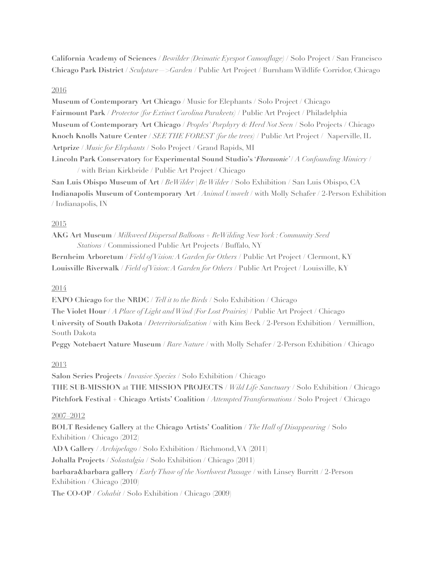**California Academy of Sciences** / *Bewilder (Deimatic Eyespot Camouflage)* / Solo Project / San Francisco **Chicago Park District** / *Sculpture—>Garden* / Public Art Project / Burnham Wildlife Corridor, Chicago

### 2016

**Museum of Contemporary Art Chicago** / Music for Elephants / Solo Project / Chicago **Fairmount Park** / *Protector (for Extinct Carolina Parakeets)* / Public Art Project / Philadelphia **Museum of Contemporary Art Chicago** / *Peoples' Porphyry & Herd Not Seen* / Solo Projects / Chicago **Knoch Knolls Nature Center** / *SEE THE FOREST (for the trees)* / Public Art Project / Naperville, IL **Artprize** / *Music for Elephants* / Solo Project / Grand Rapids, MI **Lincoln Park Conservatory** for **Experimental Sound Studio's** '*Florasonic'* / *A Confounding Mimicry* / / with Brian Kirkbride / Public Art Project / Chicago

**San Luis Obispo Museum of Art** / *BeWilder | Be Wilder* / Solo Exhibition / San Luis Obispo, CA **Indianapolis Museum of Contemporary Art** / *Animal Umwelt* / with Molly Schafer / 2-Person Exhibition / Indianapolis, IN

### 2015

**AKG Art Museum** / *Milkweed Dispersal Balloons + ReWilding New York : Community Seed Stations* / Commissioned Public Art Projects / Buffalo, NY

**Bernheim Arboretum** / *Field of Vision: A Garden for Others* / Public Art Project / Clermont, KY **Louisville Riverwalk** / *Field of Vision: A Garden for Others* / Public Art Project / Louisville, KY

#### 2014

**EXPO Chicago** for the **NRDC** / *Tell it to the Birds* / Solo Exhibition / Chicago **The Violet Hour** / *A Place of Light and Wind (For Lost Prairies)* / Public Art Project / Chicago **University of South Dakota** / *Deterritorialization* / with Kim Beck / 2-Person Exhibition / Vermillion, South Dakota

**Peggy Notebaert Nature Museum** / *Rare Nature* / with Molly Schafer / 2-Person Exhibition / Chicago

#### 2013

**Salon Series Projects** / *Invasive Species* / Solo Exhibition / Chicago **THE SUB-MISSION** at **THE MISSION PROJECTS** / *Wild Life Sanctuary* / Solo Exhibition / Chicago **Pitchfork Festival** + **Chicago Artists' Coalition** / *Attempted Transformations* / Solo Project / Chicago

## 2007–2012

**BOLT Residency Gallery** at the **Chicago Artists' Coalition** / *The Hall of Disappearing* / Solo Exhibition / Chicago (2012)

**ADA Gallery** / *Archipelago* / Solo Exhibition / Richmond, VA (2011)

**Johalla Projects** / *Solastalgia* / Solo Exhibition / Chicago (2011)

**barbara&barbara gallery** / *Early Thaw of the Northwest Passage* / with Linsey Burritt / 2-Person Exhibition / Chicago (2010)

**The CO-OP** / *Cohabit* / Solo Exhibition / Chicago (2009)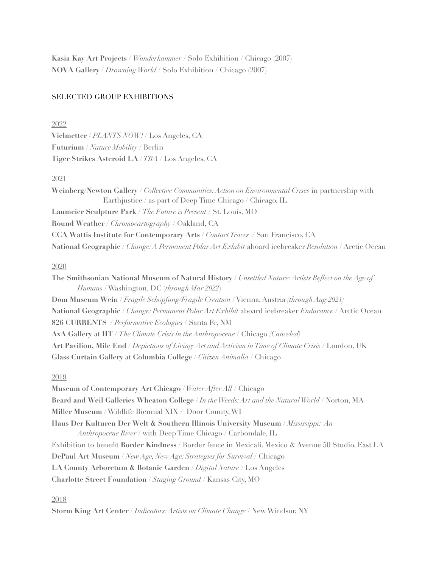**Kasia Kay Art Projects** / *Wunderkammer* / Solo Exhibition / Chicago (2007) **NOVA Gallery** / *Drowning World* / Solo Exhibition / Chicago (2007)

### SELECTED GROUP EXHIBITIONS

#### 2022

**Vielmetter** / *PLANTS NOW!* / Los Angeles, CA **Futurium** / *Nature Mobility* / Berlin **Tiger Strikes Asteroid LA** / *TBA* / Los Angeles, CA

### 2021

**Weinberg/Newton Gallery /** *Collective Communities: Action on Environmental Crises* in partnership with Earthjustice / as part of Deep Time Chicago / Chicago, IL **Laumeier Sculpture Park** / *The Future is Present* / St. Louis, MO **Round Weather** / *Chromocartography* / Oakland, CA **CCA Wattis Institute for Contemporary Arts /** *Contact Traces /* San Francisco, CA **National Geographic** / *Change: A Permanent Polar Art Exhibit* aboard icebreaker *Resolution* / Arctic Ocean

#### 2020

**The Smithsonian National Museum of Natural History** / *Unsettled Nature: Artists Reflect on the Age of Humans* / Washington, DC (*through Mar 2022*) **Dom Museum Wein** / *Fragile Schöpfung/Fragile Creation* / Vienna, Austria *(through Aug 2021)* **National Geographic** / *Change: Permanent Polar Art Exhibit* aboard icebreaker *Endurance* / Arctic Ocean **826 CURRENTS** / *Performative Ecologies* / Santa Fe, NM **AxA Gallery** at **IIT** / *The Climate Crisis in the Anthropocene* / Chicago *(Canceled)* **Art Pavilion, Mile End** / *Depictions of Living: Art and Activism in Time of Climate Crisis* / London, UK **Glass Curtain Gallery** at **Columbia College** / *Citizen Animalia* / Chicago

#### 2019

**Museum of Contemporary Art Chicago** / *Water After All* / Chicago **Beard and Weil Galleries Wheaton College** / *In the Weeds: Art and the Natural World* / Norton, MA **Miller Museum** / Wildlife Biennial XIX / Door County, WI **Haus Der Kulturen Der Welt & Southern Illinois University Museum** / *Mississippi: An Anthropocene River* / with Deep Time Chicago / Carbondale, IL Exhibition to benefit **Border Kindness** / Border fence in Mexicali, Mexico & Avenue 50 Studio, East LA **DePaul Art Museum** / *New Age, New Age: Strategies for Survival* / Chicago **LA County Arboretum & Botanic Garden** / *Digital Nature* / Los Angeles **Charlotte Street Foundation** / *Staging Ground* / Kansas City, MO

#### 2018

**Storm King Art Center** / *Indicators: Artists on Climate Change* / New Windsor, NY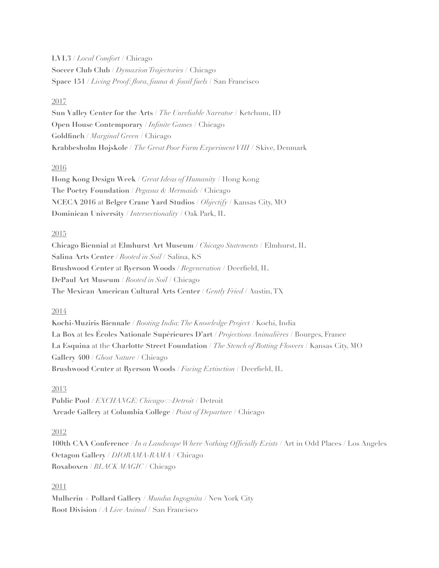**LVL3** / *Local Comfort* / Chicago **Soccer Club Club** / *Dymaxion Trajectories* / Chicago **Space 151** / *Living Proof: flora, fauna & fossil fuels* / San Francisco

## 2017

**Sun Valley Center for the Arts** / *The Unreliable Narrator* / Ketchum, ID **Open House Contemporary** / *Infinite Games* / Chicago **Goldfinch** / *Marginal Green* / Chicago **Krabbesholm Højskole** / *The Great Poor Farm Experiment VIII* / Skive, Denmark

# 2016

**Hong Kong Design Week** / *Great Ideas of Humanity* / Hong Kong **The Poetry Foundation** / *Pegasus & Mermaids* / Chicago **NCECA 2016** at **Belger Crane Yard Studios** / *Objectify* / Kansas City, MO **Dominican University** / *Intersectionality* / Oak Park, IL

# 2015

**Chicago Biennial** at **Elmhurst Art Museum** / *Chicago Statements* / Elmhurst, IL **Salina Arts Center** / *Rooted in Soil* / Salina, KS **Brushwood Center** at **Ryerson Woods** / *Regeneration* / Deerfield, IL **DePaul Art Museum** / *Rooted in Soil* / Chicago **The Mexican American Cultural Arts Center** / *Gently Fried* / Austin, TX

# 2014

**Kochi-Muziris Biennale** / *Rooting India: The Knowledge Project* / Kochi, India **La Box** at **les Écoles Nationale Supérieures D'art** / *Projections Animalières* / Bourges, France **La Esquina** at the **Charlotte Street Foundation** / *The Stench of Rotting Flowers* / Kansas City, MO **Gallery 400** / *Ghost Nature* / Chicago **Brushwood Center** at **Ryerson Woods** / *Facing Extinction* / Deerfield, IL

# 2013

**Public Pool** / *EXCHANGE: Chicago<>Detroit* / Detroit **Arcade Gallery** at **Columbia College** / *Point of Departure* / Chicago

# 2012

**100th CAA Conference** / *In a Landscape Where Nothing Officially Exists* / Art in Odd Places / Los Angeles **Octagon Gallery** / *DIORAMA-RAMA* / Chicago **Roxaboxen** / *BLACK MAGIC* / Chicago

# 2011

**Mulherin + Pollard Gallery** / *Mundus Ingognita* / New York City **Root Division** / *A Live Animal* / San Francisco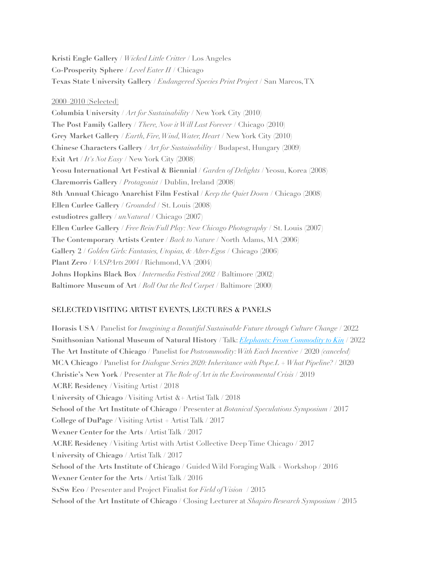**Kristi Engle Gallery** / *Wicked Little Critter* / Los Angeles **Co-Prosperity Sphere** / *Level Eater II* / Chicago **Texas State University Gallery** / *Endangered Species Print Project* / San Marcos, TX

#### 2000–2010 (Selected)

**Columbia University** / *Art for Sustainability* / New York City (2010) **The Post Family Gallery** / *There, Now it Will Last Forever* / Chicago (2010) **Grey Market Gallery** / *Earth, Fire, Wind, Water, Heart* / New York City (2010) **Chinese Characters Gallery** / *Art for Sustainability* / Budapest, Hungary (2009) **Exit Art** / *It's Not Easy* / New York City (2008) **Yeosu International Art Festival & Biennial** / *Garden of Delights* / Yeosu, Korea (2008) **Claremorris Gallery** / *Protagonist* / Dublin, Ireland (2008) **8th Annual Chicago Anarchist Film Festival** / *Keep the Quiet Down* / Chicago (2008) **Ellen Curlee Gallery** / *Grounded* / St. Louis (2008) **estudiotres gallery** / *unNatural* / Chicago (2007) **Ellen Curlee Gallery** / *Free Rein/Full Play: New Chicago Photography* / St. Louis (2007) **The Contemporary Artists Center** / *Back to Nature* / North Adams, MA (2006) **Gallery 2** / *Golden Girls: Fantasies, Utopias, & Alter-Egos* / Chicago (2006) **Plant Zero** / *VASPArts 2004* / Richmond, VA (2004) **Johns Hopkins Black Box** / *Intermedia Festival 2002* / Baltimore (2002) **Baltimore Museum of Art** / *Roll Out the Red Carpet* / Baltimore (2000)

# SELECTED VISITING ARTIST EVENTS, LECTURES & PANELS

**Horasis USA** / Panelist for *Imagining a Beautiful Sustainable Future through Culture Change* / 2022 **Smithsonian National Museum of Natural History** / Talk: *[Elephants: From Commodity to Kin](https://naturalhistory.si.edu/education/after-hours/unsettled-nature-artist-event-series/webinar-artist-talk-jenny-kendler-music-for-elephants)* / 2022 **The Art Institute of Chicago** / Panelist for *Postcommodity: With Each Incentive* / 2020 *(canceled)*  **MCA Chicago** / Panelist for *Dialogue Series 2020: Inheritance with Pope.L + What Pipeline?* / 2020 **Christie's New York** / Presenter at *The Role of Art in the Environmental Crisis* / 2019 **ACRE Residency** / Visiting Artist / 2018 **University of Chicago** / Visiting Artist &+ Artist Talk / 2018 **School of the Art Institute of Chicago** / Presenter at *Botanical Speculations Symposium* / 2017 **College of DuPage** / Visiting Artist + Artist Talk / 2017 **Wexner Center for the Arts** / Artist Talk / 2017 **ACRE Residency** / Visiting Artist with Artist Collective Deep Time Chicago / 2017 **University of Chicago** / Artist Talk / 2017 **School of the Arts Institute of Chicago** / Guided Wild Foraging Walk + Workshop / 2016 **Wexner Center for the Arts** / Artist Talk / 2016 **SxSw Eco** / Presenter and Project Finalist for *Field of Vision* / 2015 **School of the Art Institute of Chicago** / Closing Lecturer at *Shapiro Research Symposium* / 2015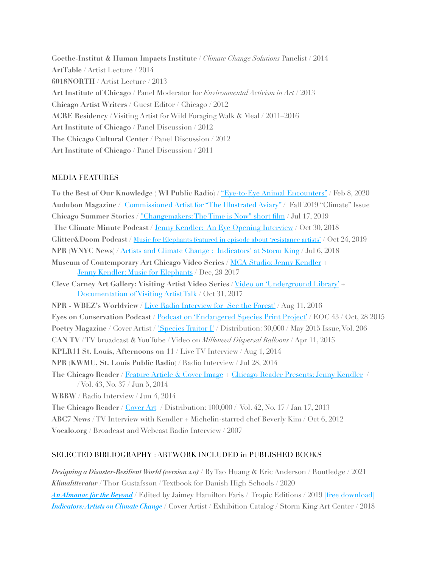**Goethe-Institut & Human Impacts Institute** / *Climate Change Solutions* Panelist / 2014 **ArtTable** / Artist Lecture / 2014 **6018NORTH** / Artist Lecture / 2013 **Art Institute of Chicago** / Panel Moderator for *Environmental Activism in Art* / 2013 **Chicago Artist Writers** / Guest Editor / Chicago / 2012 **ACRE Residency** / Visiting Artist for Wild Foraging Walk & Meal / 2011–2016 **Art Institute of Chicago** / Panel Discussion / 2012 **The Chicago Cultural Center** / Panel Discussion / 2012 **Art Institute of Chicago** / Panel Discussion / 2011

### MEDIA FEATURES

**To the Best of Our Knowledge ( WI Public Radio)** / ["Eye-to-Eye Animal Encounters"](https://www.ttbook.org/interview/100-bird-eyes-are-watching-you) / Feb 8, 2020 **Audubon Magazine** / [Commissioned Artist for "The Illustrated Aviary"](https://www.audubon.org/magazine/fall-2019/reimagining-200-audubons-birds-0) / Fall 2019 "Climate" Issue **Chicago Summer Stories /** ["Changemakers: The Time is Now" short film](https://www.youtube.com/watch?v=gWUH_L3tyhk) / Jul 17, 2019 **The Climate Minute Podcast** / [Jenny Kendler: An Eye Opening Interview](https://massclimateaction.podbean.com/e/jenny-kendler-an-eye-opening-interview/) / Oct 30, 2018 **Glitter&Doom Podcast** / [Music for Elephants featured in episode about 'resistance artists'](https://share.transistor.fm/s/0deeaede) / Oct 24, 2019 **NPR (WNYC News)** / [Artists and Climate Change : 'Indicators' at Storm King](https://www.wnyc.org/story/artists-and-climate-change/) / Jul 6, 2018 **Museum of Contemporary Art Chicago Video Series** / [MCA Studio: Jenny Kendler](https://www.youtube.com/watch?v=pE3i3Ocd3D4) + [Jenny Kendler: Music for Elephants](https://vimeo.com/203369445) / Dec, 29 2017 **Cleve Carney Art Gallery: Visiting Artist Video Series** / [Video on 'Underground Library'](https://www.youtube.com/watch?v=NvvMRtw32kI) + [Documentation of Visiting Artist Talk](https://www.youtube.com/watch?v=nsNr4DCvGQs) / Oct 31, 2017 **NPR - WBEZ's Worldview** / [Live Radio Interview for 'See the Forest'](https://jennykendler.com/artwork/4129905-NPR-WBEZ-Worldview-Interview.html) / Aug 11, 2016 **Eyes on Conservation Podcast** / [Podcast on 'Endangered Species Print Project'](https://www.iheart.com/podcast/263-the-eyes-on-conserv-27862977/episode/eoc-043-the-endangered-species-print-27865891/) / EOC 43 / Oct, 28 2015 **Poetry Magazine** / Cover Artist / ['Species Traitor I'](https://www.poetryfoundation.org/harriet/2015/10/poetry-cover-arts-volume-206) / Distribution: 30,000 / May 2015 Issue, Vol. 206 **CAN TV** / TV broadcast & YouTube / Video on *Milkweed Dispersal Balloons* / Apr 11, 2015 **KPLR11 St. Louis, Afternoons on 11** / Live TV Interview / Aug 1, 2014 **NPR (KWMU, St. Louis Public Radio)** / Radio Interview / Jul 28, 2014 **The Chicago Reader** / [Feature Article & Cover Image](https://www.chicagoreader.com/chicago/artist-jenny-kendler-natural-resources-defense-council/Content?oid=13752359) + [Chicago Reader Presents: Jenny Kendler](https://www.youtube.com/watch?v=vQyz35ZbQZI) / / Vol. 43, No. 37 / Jun 5, 2014 **WBBW** / Radio Interview / Jun 4, 2014 **The Chicago Reader** / [Cover Art](http://2.bp.blogspot.com/-O60rF3n3stY/UPcnF5oc94I/AAAAAAAABCA/WZ-JjjMZHr4/s1600/2013-01-17_Chicago_Reader_cover.jpg) / Distribution: 100,000 / Vol. 42, No. 17 / Jan 17, 2013 **ABC7 News** / TV Interview with Kendler + Michelin-starred chef Beverly Kim / Oct 6, 2012

**Vocalo.org /** Broadcast and Webcast Radio Interview / 2007

## SELECTED BIBLIOGRAPHY : ARTWORK INCLUDED in PUBLISHED BOOKS

*Designing a Disaster-Resilient World (version 2.0)* / By Tao Huang & Eric Anderson / Routledge / 2021 *Klimalitteratur* / Thor Gustafsson / Textbook for Danish High Schools / 2020 *[An Almanac for the Beyond](https://tropiceditions.org/Almanac-for-the-Beyond)* / Edited by Jaimey Hamilton Faris / Tropic Editions / 2019 [\[free download\]](https://www.almanacforthebeyond.ca/) *[Indicators: Artists on Climate Change](https://shop.stormking.org/product/indicators-artist-on-climate-change)* / Cover Artist / Exhibition Catalog / Storm King Art Center / 2018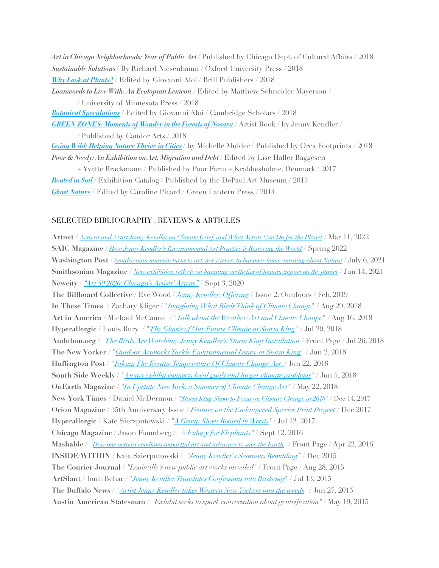*Art in Chicago Neighborhoods: Year of Public Art /* Published by Chicago Dept. of Cultural Affairs / 2018 *Sustainable Solutions* / By Richard Niesenbaum / Oxford University Press / 2018 *[Why Look at Plants?](https://brill.com/abstract/title/33086)* / Edited by Giovanni Aloi / Brill Publishers / 2018 *Loanwords to Live With: An Ecotopian Lexicon* / Edited by Matthew Schneider-Mayerson / / University of Minnesota Press / 2018 *[Botanical Speculations](https://www.cambridgescholars.com/botanical-speculations)* / Edited by Giovanni Aloi / Cambridge Scholars / 2018 *[GREEN ZONES: Moments of Wonder in the Forests of Nosara](http://www.candorarts.com/goods/lk50x1yy8n03n56vu3pk9k7ty3id6n)* / Artist Book / by Jenny Kendler / / Published by Candor Arts / 2018 *[Going Wild: Helping Nature Thrive in Cities](https://www.publishersweekly.com/978-1-4598-1287-1)* / by Michelle Mulder / Published by Orca Footprints / 2018 Poor & Needy: An Exhibition on Art, Migration and Debt / Edited by Lise Haller Baggesen

+ Yvette Brackmann / Published by Poor Farm + Krabbesholme, Denmark / 2017 *[Rooted in Soil](https://www.amazon.com/Rooted-Soil-Laura-Fatemi/dp/0978907493)* / Exhibition Catalog / Published by the DePaul Art Museum / 2015 *[Ghost Nature](http://sector2337.com/product/ghost-nature/#tab-description)* / Edited by Caroline Picard / Green Lantern Press / 2014

### SELECTED BIBLIOGRAPHY : REVIEWS & ARTICLES

**Artnet** / *[Activist and Artist Jenny Kendler on Climate Grief, and What Artists Can Do for the Planet](https://news.artnet.com/sustainability/conversation-jenny-kendler-2083301)* / Mar 11, 2022 **SAIC Magazine** / *[How Jenny Kendler's Environmental Art Practice is Restoring the World](https://www.saic.edu/magazine/spring22/jenny-kendlers-process)* / Spring 2022 **Washington Post** / *[Smithsonian museum turns to art, not science, to hammer home warning about Nature](https://www.washingtonpost.com/goingoutguide/museums/national-museum-natural-history-unsettled-nature-art-review/2021/07/03/2e557b02-d505-11eb-ae54-515e2f63d37d_story.html)* / July 6, 2021 **Smithsonian Magazine** / *[New exhibition reflects on haunting aesthetics of human impact on the planet](https://www.smithsonianmag.com/smithsonian-institution/unsettling-experience-viewing-natural-disasters-works-art-180977949/)* / Jun 14, 2021 **Newcity /** *["Art 50 2020: Chicago's Artists' Artists"](https://art.newcity.com/2020/09/03/art-50-2020-chicagos-artists-artists/3/)* / Sept 3, 2020 **The Billboard Collective** / Eve Wood / *[Jenny Kendler: Offering](https://tbc.shorthandstories.com/tbc/mag_2/index.html)* / Issue 2: Outdoors / Feb, 2019 **In These Times** / Zachary Kliger / "*[Imagining What Birds Think of Climate Change](http://inthesetimes.com/article/21335/climate-change-art-kendler-birds)*" / Aug 29, 2018 **Art in America** / Michael McCanne / "*[Talk about the Weather: Art and Climate Change](https://www.artinamericamagazine.com/news-features/news/talk-weather-art-climate-change/)*" / Aug 16, 2018 **Hyperallergic** / Louis Bury / "*[The Ghosts of Our Future Climate at Storm King](https://hyperallergic.com/451982/indicators-artists-climate-change-exhibition-storm-king-art-center/)*" / Jul 29, 2018 **Audubon.org** / "*[The Birds Are Watching: Jenny Kendler's Storm King Installation](https://www.audubon.org/news/the-birds-are-watching-jenny-kendlers-storm-king-installation-sends-message)* / Front Page / Jul 26, 2018 **The New Yorker** / "*[Outdoor Artworks Tackle Environmental Issues, at Storm King](https://www.newyorker.com/magazine/2018/07/02/outdoor-artworks-tackle-environmental-issues-at-storm-king)*" / Jun 2, 2018 **Huffington Post** / *"[Taking The Erratic Temperature Of Climate Change Art](https://www.huffingtonpost.com/entry/climate-change-art-exhibit_us_5b28059ae4b0f0b9e9a3bef8)* / Jun 22, 2018 **South Side Weekly** / "*[An art exhibit connects local goals and larger climate problems](https://southsideweekly.com/art-considers-changing-climate-growing-neighborhood-garden-for-a-changing-climate/)"* / Jun 5, 2018 **OnEarth Magazine** / *["In Upstate New York, a Summer of Climate Change Art](https://www.nrdc.org/onearth/upstate-new-york-summer-climate-change-art)"* / May 22, 2018 **New York Times** / Daniel McDermon / *"[Storm King Show to Focus on Climate Change in 2018](https://www.nytimes.com/2017/12/14/arts/design/storm-king-climate-change-show.html)"* / Dec 14, 2017 **Orion Magazine** / 35th Anniversary Issue / *[Feature on the Endangered Species Print Project](https://jennykendler.com/artwork/4418430-ESPP-featured-in-the-35th-Anniversary-edition-of-Orion-Magazine-Page-1.html)* / Dec 2017 **Hyperallergic** / Kate Sierzputowski / *"[A Group Show Rooted in Weeds"](https://hyperallergic.com/389743/a-group-show-rooted-in-weeds)* / Jul 12, 2017 **Chicago Magazine** / Jason Foumberg / *"[A Eulogy for Elephants"](http://www.chicagomag.com/Chicago-Magazine/October-2016/Jenny-Kendler/)* / Sept 12, 2016 **Mashable** / *["How one activist combines impactful art and advocacy to save the Earth"](https://mashable.com/2016/04/22/jenny-kendler-ndrc-artist/)* / Front Page / Apr 22, 2016 **INSIDE/WITHIN** / Kate Szierputowski / *"[Jenny Kendler's Sensuous Rewilding](http://insidewithin.com/jenny-kendler-2/)"* / Dec 2015 **The Courier-Journal** / *"Louisville's new public art works unveiled"* / Front Page / Aug 28, 2015 **ArtSlant** / Ionit Behar / "*[Jenny Kendler Translates Confessions into Birdsong](http://www.artslant.com/chi/articles/show/43488%7C%22Jenny%20Kendler%20Translates%20Confessions%20into%20Birdsong)*" / Jul 13, 2015 **The Buffalo News** / *"[Artist Jenny Kendler takes Western New Yorkers into the weeds"](http://buffalo.com/2015/06/27/news/art/art-previews/artist-jenny-kendler-takes-western-new-yorkers-into-the-weeds/)* / Jun 27, 2015 **Austin American Statesman** / *"Exhibit seeks to spark conversation about gentrification"* / May 19, 2015